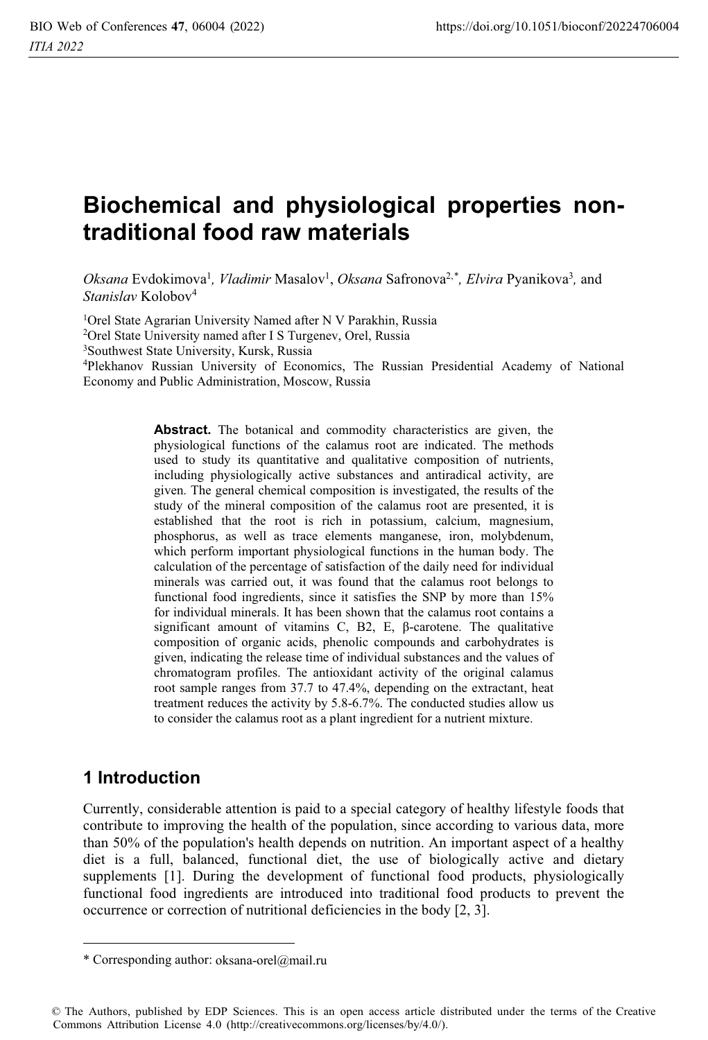# **Biochemical and physiological properties nontraditional food raw materials**

Oksana Evdokimova<sup>1</sup>, *Vladimir* Masalov<sup>1</sup>, Oksana Safronova<sup>2,\*</sup>, *Elvira* Pyanikova<sup>3</sup>, and *Stanislav* Kolobov4

<sup>1</sup>Orel State Agrarian University Named after N V Parakhin, Russia <sup>2</sup>Orel State University named after I S Turgenev, Orel, Russia

3Southwest State University, Kursk, Russia

4Plekhanov Russian University of Economics, The Russian Presidential Academy of National Economy and Public Administration, Moscow, Russia

> **Abstract.** The botanical and commodity characteristics are given, the physiological functions of the calamus root are indicated. The methods used to study its quantitative and qualitative composition of nutrients, including physiologically active substances and antiradical activity, are given. The general chemical composition is investigated, the results of the study of the mineral composition of the calamus root are presented, it is established that the root is rich in potassium, calcium, magnesium, phosphorus, as well as trace elements manganese, iron, molybdenum, which perform important physiological functions in the human body. The calculation of the percentage of satisfaction of the daily need for individual minerals was carried out, it was found that the calamus root belongs to functional food ingredients, since it satisfies the SNP by more than 15% for individual minerals. It has been shown that the calamus root contains a significant amount of vitamins C, B2, E,  $\beta$ -carotene. The qualitative composition of organic acids, phenolic compounds and carbohydrates is given, indicating the release time of individual substances and the values of chromatogram profiles. The antioxidant activity of the original calamus root sample ranges from 37.7 to 47.4%, depending on the extractant, heat treatment reduces the activity by 5.8-6.7%. The conducted studies allow us to consider the calamus root as a plant ingredient for a nutrient mixture.

#### **1 Introduction**

Currently, considerable attention is paid to a special category of healthy lifestyle foods that contribute to improving the health of the population, since according to various data, more than 50% of the population's health depends on nutrition. An important aspect of a healthy diet is a full, balanced, functional diet, the use of biologically active and dietary supplements [1]. During the development of functional food products, physiologically functional food ingredients are introduced into traditional food products to prevent the occurrence or correction of nutritional deficiencies in the body [2, 3].

<sup>\*</sup> Corresponding author: oksana-orel@mail.ru

<sup>©</sup> The Authors, published by EDP Sciences. This is an open access article distributed under the terms of the Creative Commons Attribution License 4.0 (http://creativecommons.org/licenses/by/4.0/).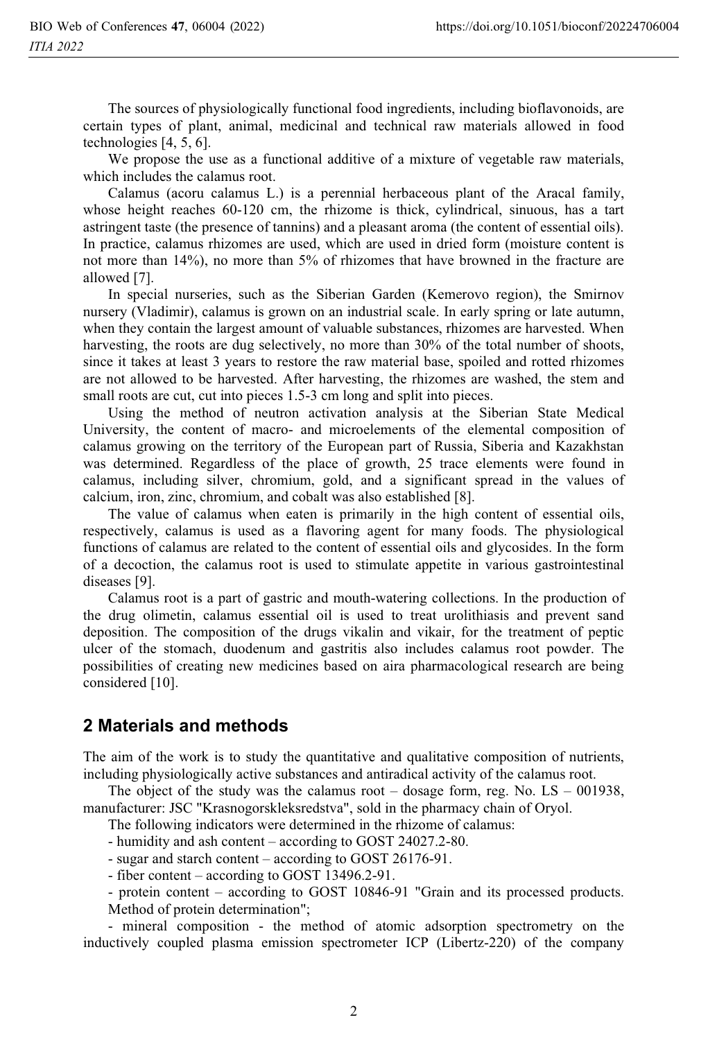The sources of physiologically functional food ingredients, including bioflavonoids, are certain types of plant, animal, medicinal and technical raw materials allowed in food technologies [4, 5, 6].

 We propose the use as a functional additive of a mixture of vegetable raw materials, which includes the calamus root.

 Calamus (acoru calamus L.) is a perennial herbaceous plant of the Aracal family, whose height reaches 60-120 cm, the rhizome is thick, cylindrical, sinuous, has a tart astringent taste (the presence of tannins) and a pleasant aroma (the content of essential oils). In practice, calamus rhizomes are used, which are used in dried form (moisture content is not more than 14%), no more than 5% of rhizomes that have browned in the fracture are allowed [7].

 In special nurseries, such as the Siberian Garden (Kemerovo region), the Smirnov nursery (Vladimir), calamus is grown on an industrial scale. In early spring or late autumn, when they contain the largest amount of valuable substances, rhizomes are harvested. When harvesting, the roots are dug selectively, no more than 30% of the total number of shoots, since it takes at least 3 years to restore the raw material base, spoiled and rotted rhizomes are not allowed to be harvested. After harvesting, the rhizomes are washed, the stem and small roots are cut, cut into pieces 1.5-3 cm long and split into pieces.

 Using the method of neutron activation analysis at the Siberian State Medical University, the content of macro- and microelements of the elemental composition of calamus growing on the territory of the European part of Russia, Siberia and Kazakhstan was determined. Regardless of the place of growth, 25 trace elements were found in calamus, including silver, chromium, gold, and a significant spread in the values of calcium, iron, zinc, chromium, and cobalt was also established [8].

 The value of calamus when eaten is primarily in the high content of essential oils, respectively, calamus is used as a flavoring agent for many foods. The physiological functions of calamus are related to the content of essential oils and glycosides. In the form of a decoction, the calamus root is used to stimulate appetite in various gastrointestinal diseases [9].

 Calamus root is a part of gastric and mouth-watering collections. In the production of the drug olimetin, calamus essential oil is used to treat urolithiasis and prevent sand deposition. The composition of the drugs vikalin and vikair, for the treatment of peptic ulcer of the stomach, duodenum and gastritis also includes calamus root powder. The possibilities of creating new medicines based on aira pharmacological research are being considered [10].

#### **2 Materials and methods**

The aim of the work is to study the quantitative and qualitative composition of nutrients, including physiologically active substances and antiradical activity of the calamus root.

The object of the study was the calamus root – dosage form, reg. No.  $LS - 001938$ , manufacturer: JSC "Krasnogorskleksredstva", sold in the pharmacy chain of Oryol.

The following indicators were determined in the rhizome of calamus:

- humidity and ash content – according to GOST 24027.2-80.

- sugar and starch content – according to GOST 26176-91.

- fiber content – according to GOST 13496.2-91.

- protein content – according to GOST 10846-91 "Grain and its processed products. Method of protein determination";

 - mineral composition - the method of atomic adsorption spectrometry on the inductively coupled plasma emission spectrometer ICP (Libertz-220) of the company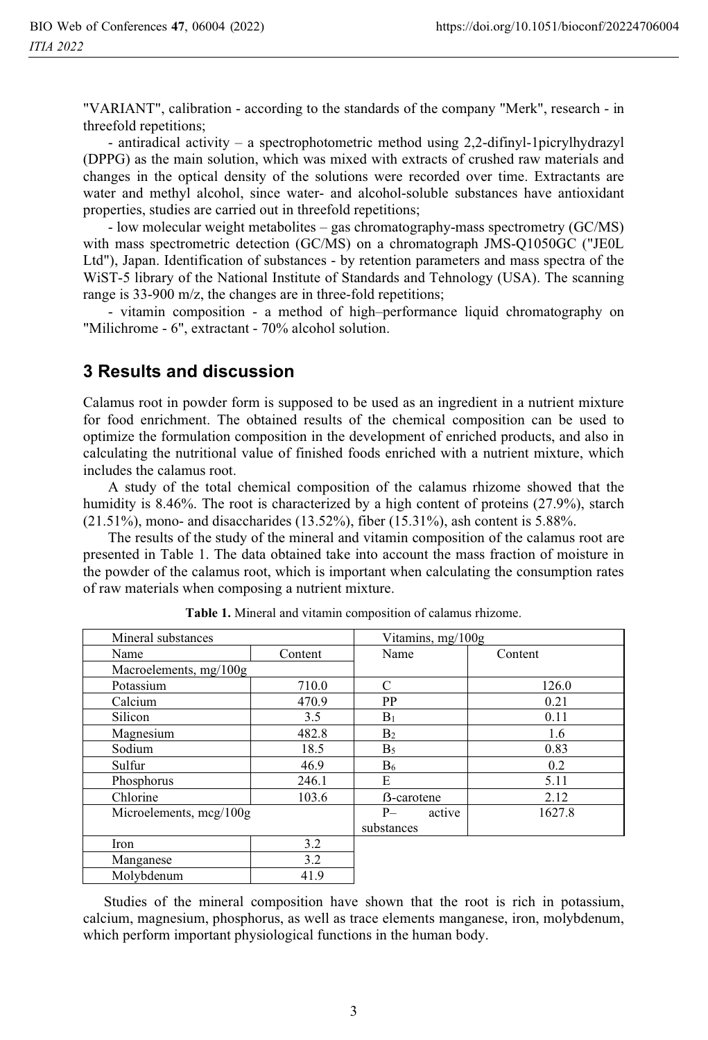"VARIANT", calibration - according to the standards of the company "Merk", research - in threefold repetitions;

 - antiradical activity – a spectrophotometric method using 2,2-difinyl-1picrylhydrazyl (DPPG) as the main solution, which was mixed with extracts of crushed raw materials and changes in the optical density of the solutions were recorded over time. Extractants are water and methyl alcohol, since water- and alcohol-soluble substances have antioxidant properties, studies are carried out in threefold repetitions;

 - low molecular weight metabolites – gas chromatography-mass spectrometry (GC/MS) with mass spectrometric detection (GC/MS) on a chromatograph JMS-Q1050GC ("JE0L Ltd"), Japan. Identification of substances - by retention parameters and mass spectra of the WiST-5 library of the National Institute of Standards and Tehnology (USA). The scanning range is 33-900 m/z, the changes are in three-fold repetitions;

 - vitamin composition - a method of high–performance liquid chromatography on "Milichrome - 6", extractant - 70% alcohol solution.

#### **3 Results and discussion**

Calamus root in powder form is supposed to be used as an ingredient in a nutrient mixture for food enrichment. The obtained results of the chemical composition can be used to optimize the formulation composition in the development of enriched products, and also in calculating the nutritional value of finished foods enriched with a nutrient mixture, which includes the calamus root.

 A study of the total chemical composition of the calamus rhizome showed that the humidity is 8.46%. The root is characterized by a high content of proteins (27.9%), starch (21.51%), mono- and disaccharides (13.52%), fiber (15.31%), ash content is 5.88%.

 The results of the study of the mineral and vitamin composition of the calamus root are presented in Table 1. The data obtained take into account the mass fraction of moisture in the powder of the calamus root, which is important when calculating the consumption rates of raw materials when composing a nutrient mixture.

| Mineral substances       |         | Vitamins, mg/100g  |         |
|--------------------------|---------|--------------------|---------|
| Name                     | Content | Name               | Content |
| Macroelements, $mg/100g$ |         |                    |         |
| Potassium                | 710.0   | C                  | 126.0   |
| Calcium                  | 470.9   | PP                 | 0.21    |
| Silicon                  | 3.5     | $B_1$              | 0.11    |
| Magnesium                | 482.8   | B <sub>2</sub>     | 1.6     |
| Sodium                   | 18.5    | B <sub>5</sub>     | 0.83    |
| Sulfur                   | 46.9    | $B_6$              | 0.2     |
| Phosphorus               | 246.1   | E                  | 5.11    |
| Chlorine                 | 103.6   | <b>B</b> -carotene | 2.12    |
| Microelements, mcg/100g  |         | $P-$<br>active     | 1627.8  |
|                          |         | substances         |         |
| Iron                     | 3.2     |                    |         |
| Manganese                | 3.2     |                    |         |
| Molybdenum               | 41.9    |                    |         |

**Table 1.** Mineral and vitamin composition of calamus rhizome.

Studies of the mineral composition have shown that the root is rich in potassium, calcium, magnesium, phosphorus, as well as trace elements manganese, iron, molybdenum, which perform important physiological functions in the human body.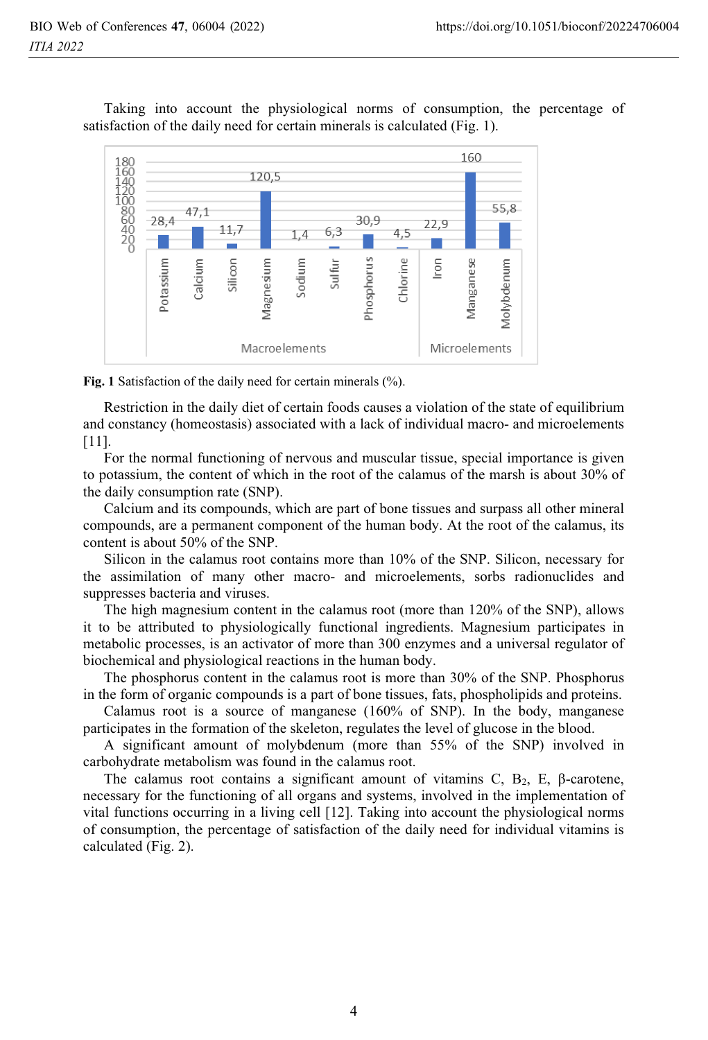Taking into account the physiological norms of consumption, the percentage of satisfaction of the daily need for certain minerals is calculated (Fig. 1).



Fig. 1 Satisfaction of the daily need for certain minerals (%).

Restriction in the daily diet of certain foods causes a violation of the state of equilibrium and constancy (homeostasis) associated with a lack of individual macro- and microelements [11].

For the normal functioning of nervous and muscular tissue, special importance is given to potassium, the content of which in the root of the calamus of the marsh is about 30% of the daily consumption rate (SNP).

Calcium and its compounds, which are part of bone tissues and surpass all other mineral compounds, are a permanent component of the human body. At the root of the calamus, its content is about 50% of the SNP.

Silicon in the calamus root contains more than 10% of the SNP. Silicon, necessary for the assimilation of many other macro- and microelements, sorbs radionuclides and suppresses bacteria and viruses.

The high magnesium content in the calamus root (more than 120% of the SNP), allows it to be attributed to physiologically functional ingredients. Magnesium participates in metabolic processes, is an activator of more than 300 enzymes and a universal regulator of biochemical and physiological reactions in the human body.

The phosphorus content in the calamus root is more than 30% of the SNP. Phosphorus in the form of organic compounds is a part of bone tissues, fats, phospholipids and proteins.

Calamus root is a source of manganese (160% of SNP). In the body, manganese participates in the formation of the skeleton, regulates the level of glucose in the blood.

A significant amount of molybdenum (more than 55% of the SNP) involved in carbohydrate metabolism was found in the calamus root.

The calamus root contains a significant amount of vitamins C,  $B_2$ , E,  $\beta$ -carotene, necessary for the functioning of all organs and systems, involved in the implementation of vital functions occurring in a living cell [12]. Taking into account the physiological norms of consumption, the percentage of satisfaction of the daily need for individual vitamins is calculated (Fig. 2).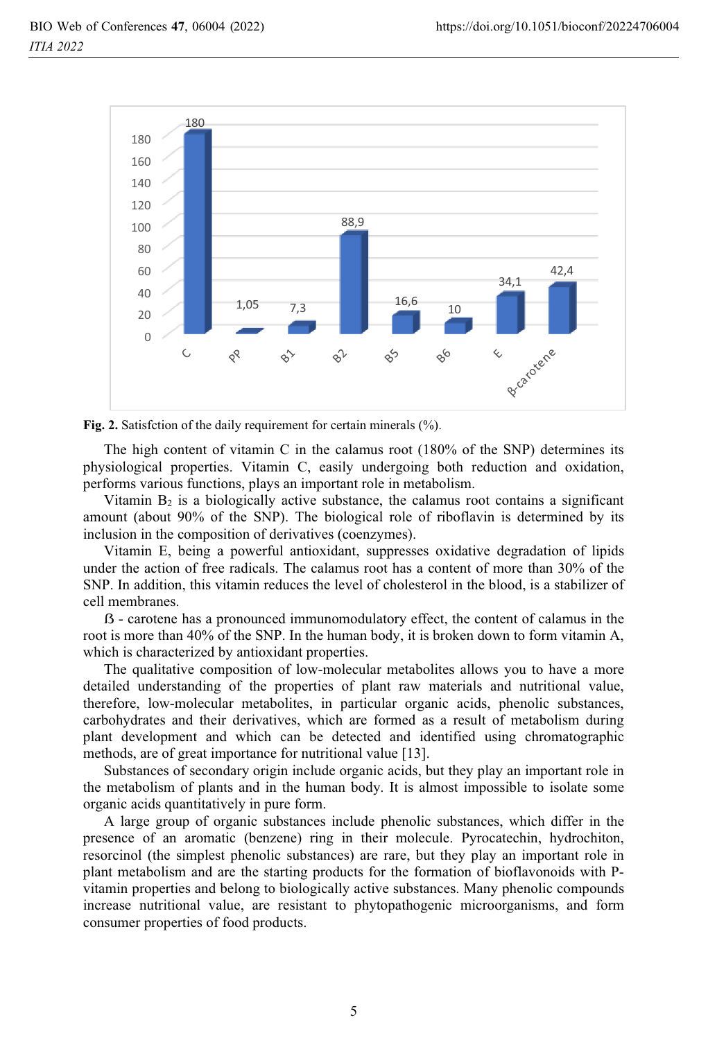

**Fig. 2.** Satisfction of the daily requirement for certain minerals (%).

The high content of vitamin C in the calamus root (180% of the SNP) determines its physiological properties. Vitamin C, easily undergoing both reduction and oxidation, performs various functions, plays an important role in metabolism.

Vitamin  $B<sub>2</sub>$  is a biologically active substance, the calamus root contains a significant amount (about 90% of the SNP). The biological role of riboflavin is determined by its inclusion in the composition of derivatives (coenzymes).

Vitamin E, being a powerful antioxidant, suppresses oxidative degradation of lipids under the action of free radicals. The calamus root has a content of more than 30% of the SNP. In addition, this vitamin reduces the level of cholesterol in the blood, is a stabilizer of cell membranes.

 - carotene has a pronounced immunomodulatory effect, the content of calamus in the root is more than 40% of the SNP. In the human body, it is broken down to form vitamin A, which is characterized by antioxidant properties.

The qualitative composition of low-molecular metabolites allows you to have a more detailed understanding of the properties of plant raw materials and nutritional value, therefore, low-molecular metabolites, in particular organic acids, phenolic substances, carbohydrates and their derivatives, which are formed as a result of metabolism during plant development and which can be detected and identified using chromatographic methods, are of great importance for nutritional value [13].

Substances of secondary origin include organic acids, but they play an important role in the metabolism of plants and in the human body. It is almost impossible to isolate some organic acids quantitatively in pure form.

A large group of organic substances include phenolic substances, which differ in the presence of an aromatic (benzene) ring in their molecule. Pyrocatechin, hydrochiton, resorcinol (the simplest phenolic substances) are rare, but they play an important role in plant metabolism and are the starting products for the formation of bioflavonoids with Pvitamin properties and belong to biologically active substances. Many phenolic compounds increase nutritional value, are resistant to phytopathogenic microorganisms, and form consumer properties of food products.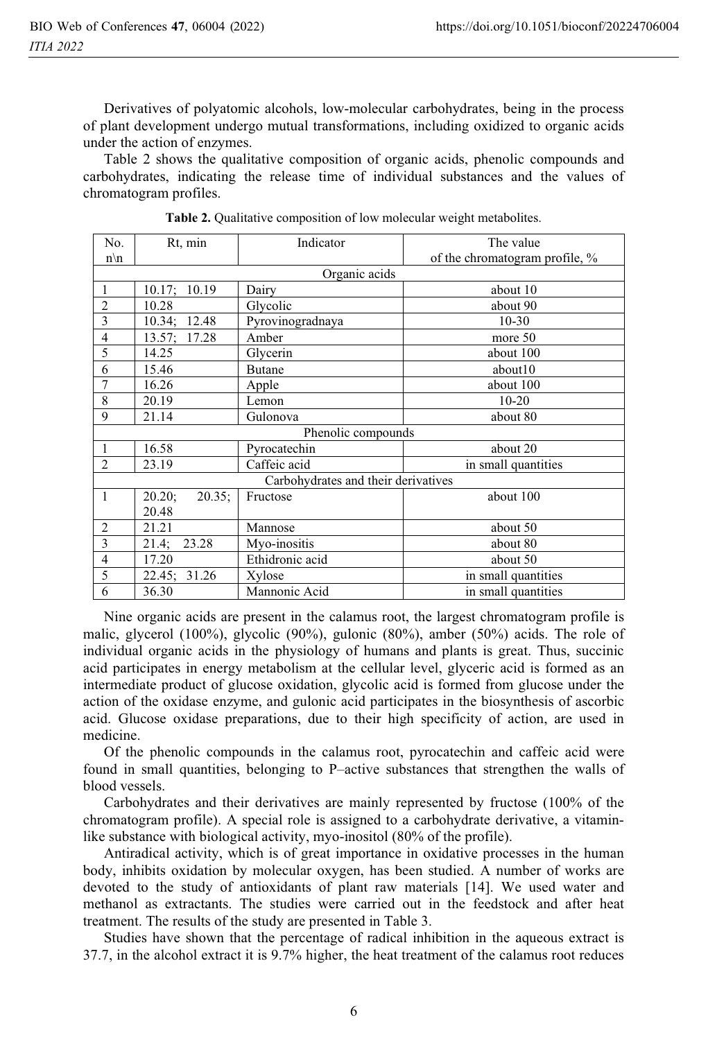Derivatives of polyatomic alcohols, low-molecular carbohydrates, being in the process of plant development undergo mutual transformations, including oxidized to organic acids under the action of enzymes.

Table 2 shows the qualitative composition of organic acids, phenolic compounds and carbohydrates, indicating the release time of individual substances and the values of chromatogram profiles.

| No.                                 | Rt, min             | Indicator        | The value                      |  |  |
|-------------------------------------|---------------------|------------------|--------------------------------|--|--|
| $n \backslash n$                    |                     |                  | of the chromatogram profile, % |  |  |
| Organic acids                       |                     |                  |                                |  |  |
|                                     | 10.17:<br>10.19     | Dairy            | about 10                       |  |  |
| $\overline{2}$                      | 10.28               | Glycolic         | about 90                       |  |  |
| 3                                   | 10.34; 12.48        | Pyrovinogradnaya | $10 - 30$                      |  |  |
| $\overline{4}$                      | 13.57; 17.28        | Amber            | more 50                        |  |  |
| 5                                   | 14.25               | Glycerin         | about 100                      |  |  |
| 6                                   | 15.46               | <b>Butane</b>    | about10                        |  |  |
| 7                                   | 16.26               | Apple            | about 100                      |  |  |
| 8                                   | 20.19               | Lemon            | $10 - 20$                      |  |  |
| 9                                   | 21.14               | Gulonova         | about 80                       |  |  |
| Phenolic compounds                  |                     |                  |                                |  |  |
| $\mathbf{1}$                        | 16.58               | Pyrocatechin     | about 20                       |  |  |
| $\overline{2}$                      | 23.19               | Caffeic acid     | in small quantities            |  |  |
| Carbohydrates and their derivatives |                     |                  |                                |  |  |
| $\mathbf{1}$                        | 20.20;<br>$20.35$ ; | Fructose         | about 100                      |  |  |
|                                     | 20.48               |                  |                                |  |  |
| $\overline{2}$                      | 21.21               | Mannose          | about 50                       |  |  |
| 3                                   | 21.4;<br>23.28      | Myo-inositis     | about 80                       |  |  |
| $\overline{4}$                      | 17.20               | Ethidronic acid  | about 50                       |  |  |
| 5                                   | 22.45:<br>31.26     | Xylose           | in small quantities            |  |  |
| 6                                   | 36.30               | Mannonic Acid    | in small quantities            |  |  |

**Table 2.** Qualitative composition of low molecular weight metabolites.

Nine organic acids are present in the calamus root, the largest chromatogram profile is malic, glycerol (100%), glycolic (90%), gulonic (80%), amber (50%) acids. The role of individual organic acids in the physiology of humans and plants is great. Thus, succinic acid participates in energy metabolism at the cellular level, glyceric acid is formed as an intermediate product of glucose oxidation, glycolic acid is formed from glucose under the action of the oxidase enzyme, and gulonic acid participates in the biosynthesis of ascorbic acid. Glucose oxidase preparations, due to their high specificity of action, are used in medicine.

Of the phenolic compounds in the calamus root, pyrocatechin and caffeic acid were found in small quantities, belonging to P–active substances that strengthen the walls of blood vessels.

Carbohydrates and their derivatives are mainly represented by fructose (100% of the chromatogram profile). A special role is assigned to a carbohydrate derivative, a vitaminlike substance with biological activity, myo-inositol (80% of the profile).

Antiradical activity, which is of great importance in oxidative processes in the human body, inhibits oxidation by molecular oxygen, has been studied. A number of works are devoted to the study of antioxidants of plant raw materials [14]. We used water and methanol as extractants. The studies were carried out in the feedstock and after heat treatment. The results of the study are presented in Table 3.

Studies have shown that the percentage of radical inhibition in the aqueous extract is 37.7, in the alcohol extract it is 9.7% higher, the heat treatment of the calamus root reduces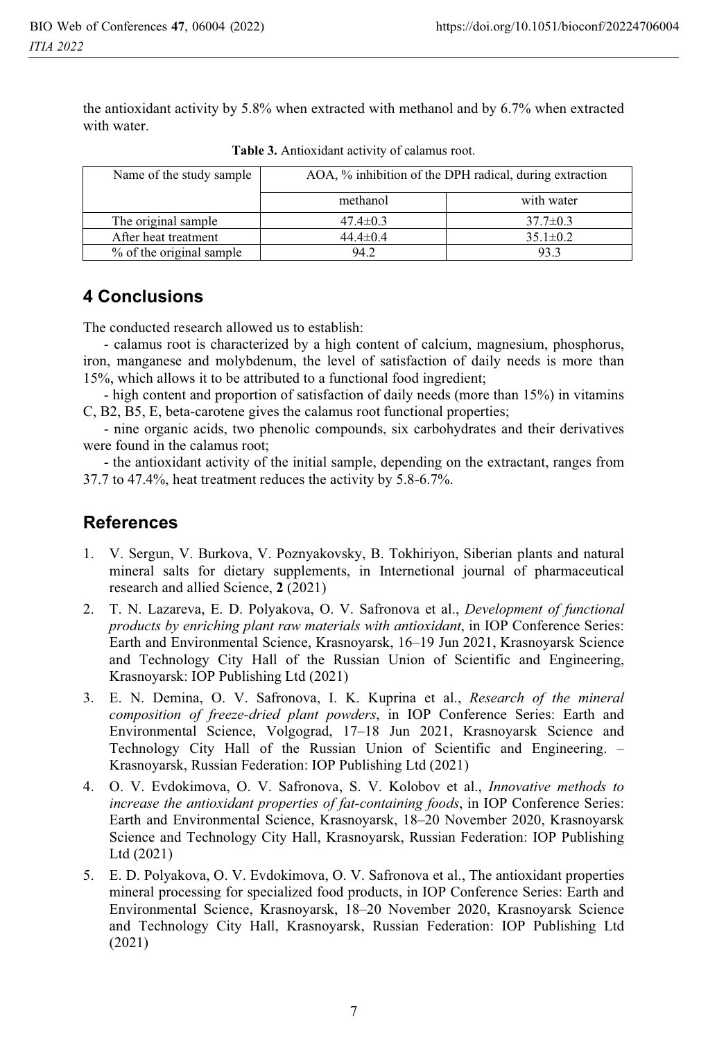the antioxidant activity by 5.8% when extracted with methanol and by 6.7% when extracted with water.

| Name of the study sample | AOA, % inhibition of the DPH radical, during extraction |                |  |
|--------------------------|---------------------------------------------------------|----------------|--|
|                          | methanol                                                | with water     |  |
| The original sample      | $47.4 \pm 0.3$                                          | $37.7 \pm 0.3$ |  |
| After heat treatment     | $44.4 \pm 0.4$                                          | $35.1 \pm 0.2$ |  |
| % of the original sample | 94.2                                                    | 93.3           |  |

**Table 3.** Antioxidant activity of calamus root.

## **4 Conclusions**

The conducted research allowed us to establish:

- calamus root is characterized by a high content of calcium, magnesium, phosphorus, iron, manganese and molybdenum, the level of satisfaction of daily needs is more than 15%, which allows it to be attributed to a functional food ingredient;

- high content and proportion of satisfaction of daily needs (more than 15%) in vitamins C, B2, B5, E, beta-carotene gives the calamus root functional properties;

- nine organic acids, two phenolic compounds, six carbohydrates and their derivatives were found in the calamus root;

- the antioxidant activity of the initial sample, depending on the extractant, ranges from 37.7 to 47.4%, heat treatment reduces the activity by 5.8-6.7%.

### **References**

- 1. V. Sergun, V. Burkova, V. Poznyakovsky, B. Tokhiriyon, Siberian plants and natural mineral salts for dietary supplements, in Internetional journal of pharmaceutical research and allied Science, **2** (2021)
- 2. T. N. Lazareva, E. D. Polyakova, O. V. Safronova et al., *Development of functional products by enriching plant raw materials with antioxidant*, in IOP Conference Series: Earth and Environmental Science, Krasnoyarsk, 16–19 Jun 2021, Krasnoyarsk Science and Technology City Hall of the Russian Union of Scientific and Engineering, Krasnoyarsk: IOP Publishing Ltd (2021)
- 3. E. N. Demina, O. V. Safronova, I. K. Kuprina et al., *Research of the mineral composition of freeze-dried plant powders*, in IOP Conference Series: Earth and Environmental Science, Volgograd, 17–18 Jun 2021, Krasnoyarsk Science and Technology City Hall of the Russian Union of Scientific and Engineering. – Krasnoyarsk, Russian Federation: IOP Publishing Ltd (2021)
- 4. O. V. Evdokimova, O. V. Safronova, S. V. Kolobov et al., *Innovative methods to increase the antioxidant properties of fat-containing foods*, in IOP Conference Series: Earth and Environmental Science, Krasnoyarsk, 18–20 November 2020, Krasnoyarsk Science and Technology City Hall, Krasnoyarsk, Russian Federation: IOP Publishing Ltd (2021)
- 5. E. D. Polyakova, O. V. Evdokimova, O. V. Safronova et al., The antioxidant properties mineral processing for specialized food products, in IOP Conference Series: Earth and Environmental Science, Krasnoyarsk, 18–20 November 2020, Krasnoyarsk Science and Technology City Hall, Krasnoyarsk, Russian Federation: IOP Publishing Ltd (2021)